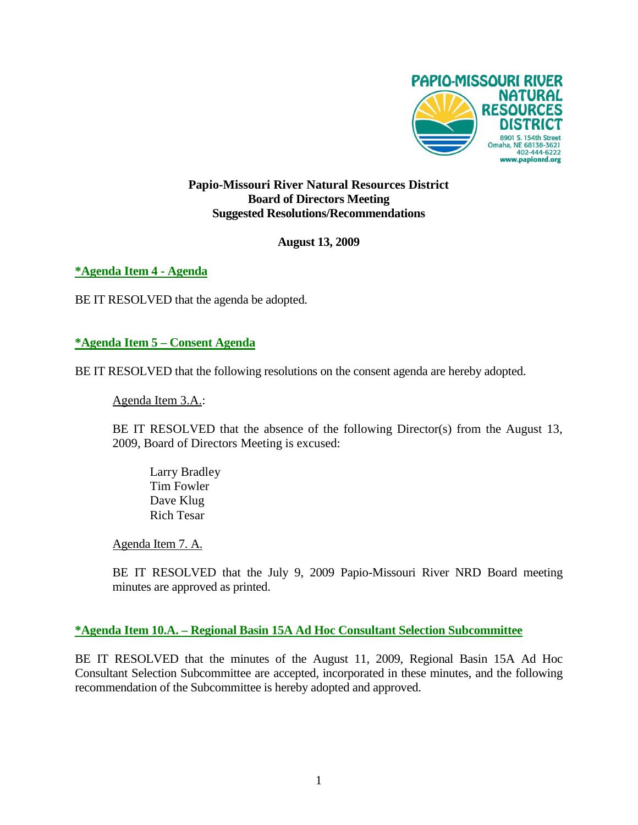

### **Papio-Missouri River Natural Resources District Board of Directors Meeting Suggested Resolutions/Recommendations**

### **August 13, 2009**

**\*Agenda Item 4 - Agenda**

BE IT RESOLVED that the agenda be adopted.

**\*Agenda Item 5 – Consent Agenda**

BE IT RESOLVED that the following resolutions on the consent agenda are hereby adopted.

Agenda Item 3.A.:

BE IT RESOLVED that the absence of the following Director(s) from the August 13, 2009, Board of Directors Meeting is excused:

Larry Bradley Tim Fowler Dave Klug Rich Tesar

Agenda Item 7. A.

BE IT RESOLVED that the July 9, 2009 Papio-Missouri River NRD Board meeting minutes are approved as printed.

#### **\*Agenda Item 10.A. – Regional Basin 15A Ad Hoc Consultant Selection Subcommittee**

BE IT RESOLVED that the minutes of the August 11, 2009, Regional Basin 15A Ad Hoc Consultant Selection Subcommittee are accepted, incorporated in these minutes, and the following recommendation of the Subcommittee is hereby adopted and approved.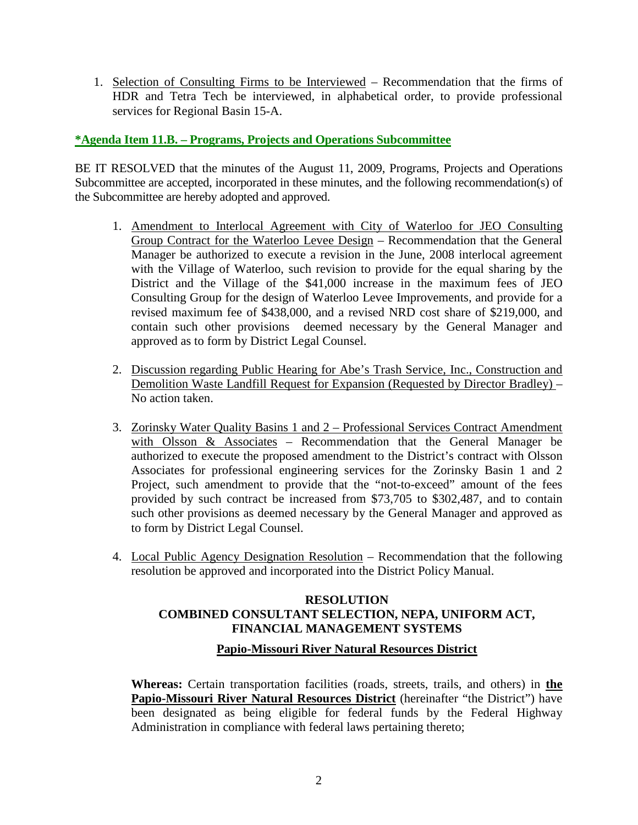1. Selection of Consulting Firms to be Interviewed – Recommendation that the firms of HDR and Tetra Tech be interviewed, in alphabetical order, to provide professional services for Regional Basin 15-A.

## **\*Agenda Item 11.B. – Programs, Projects and Operations Subcommittee**

BE IT RESOLVED that the minutes of the August 11, 2009, Programs, Projects and Operations Subcommittee are accepted, incorporated in these minutes, and the following recommendation(s) of the Subcommittee are hereby adopted and approved.

- 1. Amendment to Interlocal Agreement with City of Waterloo for JEO Consulting Group Contract for the Waterloo Levee Design – Recommendation that the General Manager be authorized to execute a revision in the June, 2008 interlocal agreement with the Village of Waterloo, such revision to provide for the equal sharing by the District and the Village of the \$41,000 increase in the maximum fees of JEO Consulting Group for the design of Waterloo Levee Improvements, and provide for a revised maximum fee of \$438,000, and a revised NRD cost share of \$219,000, and contain such other provisions deemed necessary by the General Manager and approved as to form by District Legal Counsel.
- 2. Discussion regarding Public Hearing for Abe's Trash Service, Inc., Construction and Demolition Waste Landfill Request for Expansion (Requested by Director Bradley) – No action taken.
- 3. Zorinsky Water Quality Basins 1 and 2 Professional Services Contract Amendment with Olsson & Associates – Recommendation that the General Manager be authorized to execute the proposed amendment to the District's contract with Olsson Associates for professional engineering services for the Zorinsky Basin 1 and 2 Project, such amendment to provide that the "not-to-exceed" amount of the fees provided by such contract be increased from \$73,705 to \$302,487, and to contain such other provisions as deemed necessary by the General Manager and approved as to form by District Legal Counsel.
- 4. Local Public Agency Designation Resolution Recommendation that the following resolution be approved and incorporated into the District Policy Manual.

# **RESOLUTION COMBINED CONSULTANT SELECTION, NEPA, UNIFORM ACT, FINANCIAL MANAGEMENT SYSTEMS**

## **Papio-Missouri River Natural Resources District**

**Whereas:** Certain transportation facilities (roads, streets, trails, and others) in **the Papio-Missouri River Natural Resources District** (hereinafter "the District") have been designated as being eligible for federal funds by the Federal Highway Administration in compliance with federal laws pertaining thereto;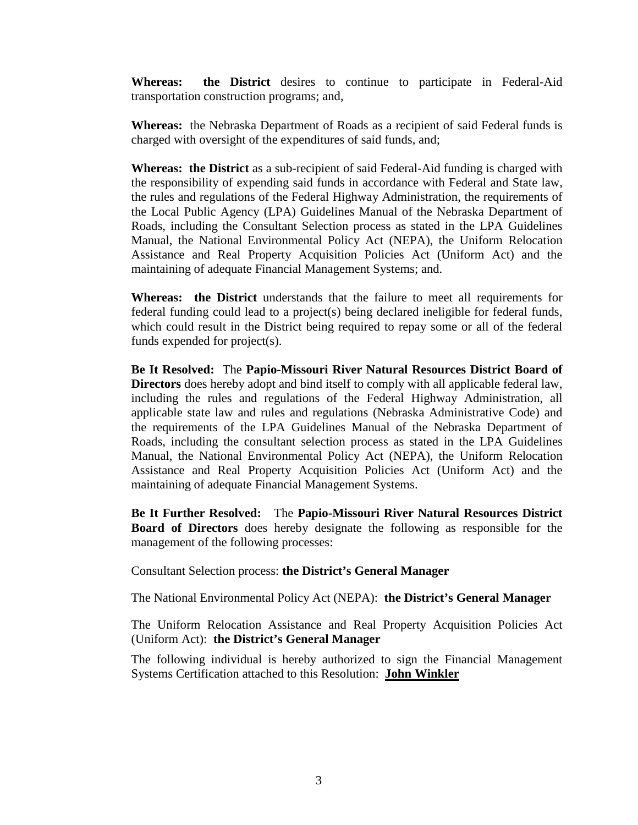**Whereas: the District** desires to continue to participate in Federal-Aid transportation construction programs; and,

**Whereas:** the Nebraska Department of Roads as a recipient of said Federal funds is charged with oversight of the expenditures of said funds, and;

**Whereas: the District** as a sub-recipient of said Federal-Aid funding is charged with the responsibility of expending said funds in accordance with Federal and State law, the rules and regulations of the Federal Highway Administration, the requirements of the Local Public Agency (LPA) Guidelines Manual of the Nebraska Department of Roads, including the Consultant Selection process as stated in the LPA Guidelines Manual, the National Environmental Policy Act (NEPA), the Uniform Relocation Assistance and Real Property Acquisition Policies Act (Uniform Act) and the maintaining of adequate Financial Management Systems; and.

**Whereas: the District** understands that the failure to meet all requirements for federal funding could lead to a project(s) being declared ineligible for federal funds, which could result in the District being required to repay some or all of the federal funds expended for project(s).

**Be It Resolved:** The **Papio-Missouri River Natural Resources District Board of Directors** does hereby adopt and bind itself to comply with all applicable federal law, including the rules and regulations of the Federal Highway Administration, all applicable state law and rules and regulations (Nebraska Administrative Code) and the requirements of the LPA Guidelines Manual of the Nebraska Department of Roads, including the consultant selection process as stated in the LPA Guidelines Manual, the National Environmental Policy Act (NEPA), the Uniform Relocation Assistance and Real Property Acquisition Policies Act (Uniform Act) and the maintaining of adequate Financial Management Systems.

**Be It Further Resolved:** The **Papio-Missouri River Natural Resources District Board of Directors** does hereby designate the following as responsible for the management of the following processes:

Consultant Selection process: **the District's General Manager**

The National Environmental Policy Act (NEPA): **the District's General Manager**

The Uniform Relocation Assistance and Real Property Acquisition Policies Act (Uniform Act): **the District's General Manager**

The following individual is hereby authorized to sign the Financial Management Systems Certification attached to this Resolution: **John Winkler**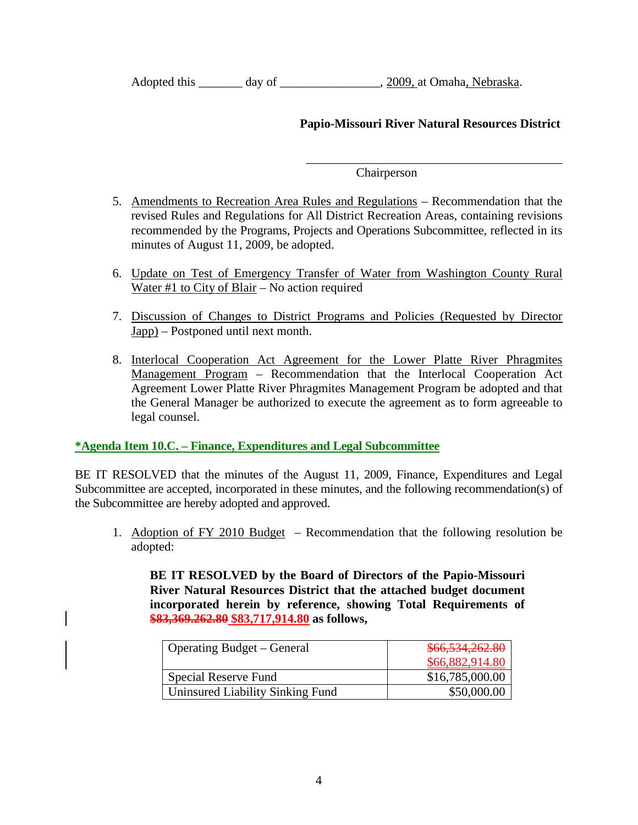| Adopted this | day of | , 2009, at Omaha, Nebraska. |
|--------------|--------|-----------------------------|
|              |        |                             |

## **Papio-Missouri River Natural Resources District**

\_\_\_\_\_\_\_\_\_\_\_\_\_\_\_\_\_\_\_\_\_\_\_\_\_\_\_\_\_\_\_\_\_\_\_\_\_\_\_\_\_

Chairperson

- 5. Amendments to Recreation Area Rules and Regulations Recommendation that the revised Rules and Regulations for All District Recreation Areas, containing revisions recommended by the Programs, Projects and Operations Subcommittee, reflected in its minutes of August 11, 2009, be adopted.
- 6. Update on Test of Emergency Transfer of Water from Washington County Rural Water #1 to City of Blair – No action required
- 7. Discussion of Changes to District Programs and Policies (Requested by Director Japp) – Postponed until next month.
- 8. Interlocal Cooperation Act Agreement for the Lower Platte River Phragmites Management Program – Recommendation that the Interlocal Cooperation Act Agreement Lower Platte River Phragmites Management Program be adopted and that the General Manager be authorized to execute the agreement as to form agreeable to legal counsel.

## **\*Agenda Item 10.C. – Finance, Expenditures and Legal Subcommittee**

BE IT RESOLVED that the minutes of the August 11, 2009, Finance, Expenditures and Legal Subcommittee are accepted, incorporated in these minutes, and the following recommendation(s) of the Subcommittee are hereby adopted and approved.

1. Adoption of FY 2010 Budget – Recommendation that the following resolution be adopted:

**BE IT RESOLVED by the Board of Directors of the Papio-Missouri River Natural Resources District that the attached budget document incorporated herein by reference, showing Total Requirements of \$83,369.262.80 \$83,717,914.80 as follows,**

| <b>Operating Budget – General</b> | \$66,534,262.80 |
|-----------------------------------|-----------------|
|                                   | \$66,882,914.80 |
| Special Reserve Fund              | \$16,785,000.00 |
| Uninsured Liability Sinking Fund  | \$50,000.00     |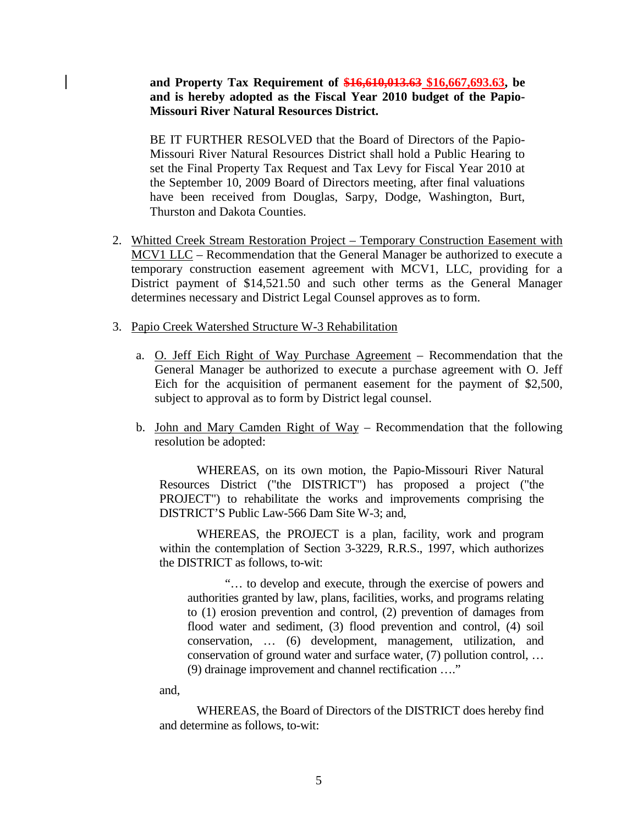#### **and Property Tax Requirement of \$16,610,013.63 \$16,667,693.63, be and is hereby adopted as the Fiscal Year 2010 budget of the Papio-Missouri River Natural Resources District.**

BE IT FURTHER RESOLVED that the Board of Directors of the Papio-Missouri River Natural Resources District shall hold a Public Hearing to set the Final Property Tax Request and Tax Levy for Fiscal Year 2010 at the September 10, 2009 Board of Directors meeting, after final valuations have been received from Douglas, Sarpy, Dodge, Washington, Burt, Thurston and Dakota Counties.

- 2. Whitted Creek Stream Restoration Project Temporary Construction Easement with MCV1 LLC – Recommendation that the General Manager be authorized to execute a temporary construction easement agreement with MCV1, LLC, providing for a District payment of \$14,521.50 and such other terms as the General Manager determines necessary and District Legal Counsel approves as to form.
- 3. Papio Creek Watershed Structure W-3 Rehabilitation
	- a. O. Jeff Eich Right of Way Purchase Agreement Recommendation that the General Manager be authorized to execute a purchase agreement with O. Jeff Eich for the acquisition of permanent easement for the payment of \$2,500, subject to approval as to form by District legal counsel.
	- b. John and Mary Camden Right of Way Recommendation that the following resolution be adopted:

WHEREAS, on its own motion, the Papio-Missouri River Natural Resources District ("the DISTRICT") has proposed a project ("the PROJECT") to rehabilitate the works and improvements comprising the DISTRICT'S Public Law-566 Dam Site W-3; and,

WHEREAS, the PROJECT is a plan, facility, work and program within the contemplation of Section 3-3229, R.R.S., 1997, which authorizes the DISTRICT as follows, to-wit:

"… to develop and execute, through the exercise of powers and authorities granted by law, plans, facilities, works, and programs relating to (1) erosion prevention and control, (2) prevention of damages from flood water and sediment, (3) flood prevention and control, (4) soil conservation, … (6) development, management, utilization, and conservation of ground water and surface water, (7) pollution control, … (9) drainage improvement and channel rectification …."

and,

WHEREAS, the Board of Directors of the DISTRICT does hereby find and determine as follows, to-wit: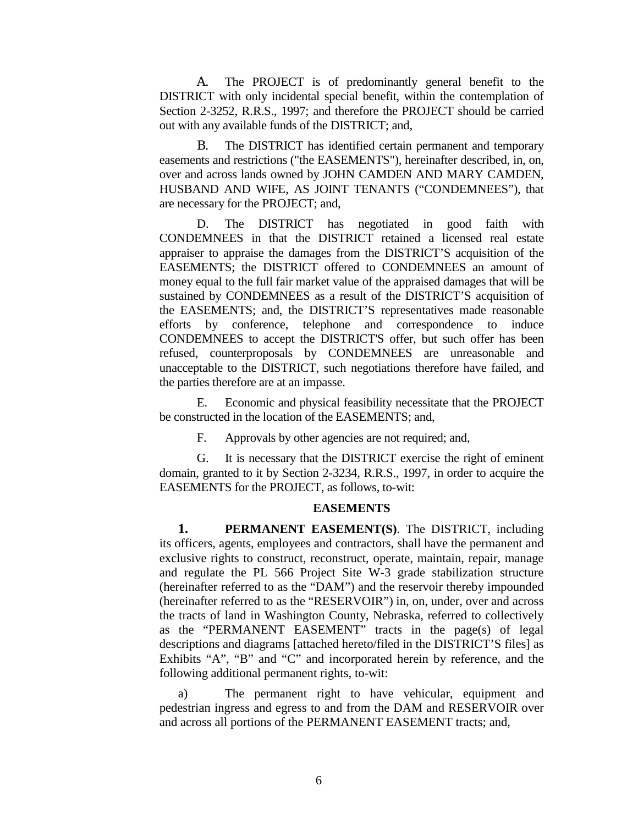A. The PROJECT is of predominantly general benefit to the DISTRICT with only incidental special benefit, within the contemplation of Section 2-3252, R.R.S., 1997; and therefore the PROJECT should be carried out with any available funds of the DISTRICT; and,

B. The DISTRICT has identified certain permanent and temporary easements and restrictions ("the EASEMENTS"), hereinafter described, in, on, over and across lands owned by JOHN CAMDEN AND MARY CAMDEN, HUSBAND AND WIFE, AS JOINT TENANTS ("CONDEMNEES"), that are necessary for the PROJECT; and,

D. The DISTRICT has negotiated in good faith with CONDEMNEES in that the DISTRICT retained a licensed real estate appraiser to appraise the damages from the DISTRICT'S acquisition of the EASEMENTS; the DISTRICT offered to CONDEMNEES an amount of money equal to the full fair market value of the appraised damages that will be sustained by CONDEMNEES as a result of the DISTRICT'S acquisition of the EASEMENTS; and, the DISTRICT'S representatives made reasonable efforts by conference, telephone and correspondence to induce CONDEMNEES to accept the DISTRICT'S offer, but such offer has been refused, counterproposals by CONDEMNEES are unreasonable and unacceptable to the DISTRICT, such negotiations therefore have failed, and the parties therefore are at an impasse.

E. Economic and physical feasibility necessitate that the PROJECT be constructed in the location of the EASEMENTS; and,

F. Approvals by other agencies are not required; and,

G. It is necessary that the DISTRICT exercise the right of eminent domain, granted to it by Section 2-3234, R.R.S., 1997, in order to acquire the EASEMENTS for the PROJECT, as follows, to-wit:

#### **EASEMENTS**

**1. PERMANENT EASEMENT(S)**. The DISTRICT, including its officers, agents, employees and contractors, shall have the permanent and exclusive rights to construct, reconstruct, operate, maintain, repair, manage and regulate the PL 566 Project Site W-3 grade stabilization structure (hereinafter referred to as the "DAM") and the reservoir thereby impounded (hereinafter referred to as the "RESERVOIR") in, on, under, over and across the tracts of land in Washington County, Nebraska, referred to collectively as the "PERMANENT EASEMENT" tracts in the page(s) of legal descriptions and diagrams [attached hereto/filed in the DISTRICT'S files] as Exhibits "A", "B" and "C" and incorporated herein by reference, and the following additional permanent rights, to-wit:

a) The permanent right to have vehicular, equipment and pedestrian ingress and egress to and from the DAM and RESERVOIR over and across all portions of the PERMANENT EASEMENT tracts; and,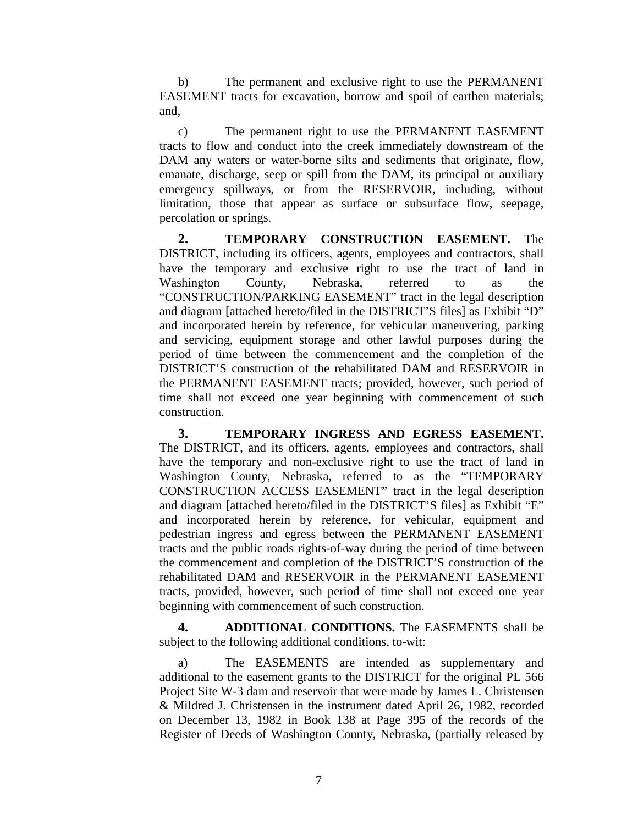b) The permanent and exclusive right to use the PERMANENT EASEMENT tracts for excavation, borrow and spoil of earthen materials; and,

c) The permanent right to use the PERMANENT EASEMENT tracts to flow and conduct into the creek immediately downstream of the DAM any waters or water-borne silts and sediments that originate, flow, emanate, discharge, seep or spill from the DAM, its principal or auxiliary emergency spillways, or from the RESERVOIR, including, without limitation, those that appear as surface or subsurface flow, seepage, percolation or springs.

**2. TEMPORARY CONSTRUCTION EASEMENT.** The DISTRICT, including its officers, agents, employees and contractors, shall have the temporary and exclusive right to use the tract of land in Washington County, Nebraska, referred to as the "CONSTRUCTION/PARKING EASEMENT" tract in the legal description and diagram [attached hereto/filed in the DISTRICT'S files] as Exhibit "D" and incorporated herein by reference, for vehicular maneuvering, parking and servicing, equipment storage and other lawful purposes during the period of time between the commencement and the completion of the DISTRICT'S construction of the rehabilitated DAM and RESERVOIR in the PERMANENT EASEMENT tracts; provided, however, such period of time shall not exceed one year beginning with commencement of such construction.

**3. TEMPORARY INGRESS AND EGRESS EASEMENT.** The DISTRICT, and its officers, agents, employees and contractors, shall have the temporary and non-exclusive right to use the tract of land in Washington County, Nebraska, referred to as the "TEMPORARY CONSTRUCTION ACCESS EASEMENT" tract in the legal description and diagram [attached hereto/filed in the DISTRICT'S files] as Exhibit "E" and incorporated herein by reference, for vehicular, equipment and pedestrian ingress and egress between the PERMANENT EASEMENT tracts and the public roads rights-of-way during the period of time between the commencement and completion of the DISTRICT'S construction of the rehabilitated DAM and RESERVOIR in the PERMANENT EASEMENT tracts, provided, however, such period of time shall not exceed one year beginning with commencement of such construction.

**4. ADDITIONAL CONDITIONS.** The EASEMENTS shall be subject to the following additional conditions, to-wit:

a) The EASEMENTS are intended as supplementary and additional to the easement grants to the DISTRICT for the original PL 566 Project Site W-3 dam and reservoir that were made by James L. Christensen & Mildred J. Christensen in the instrument dated April 26, 1982, recorded on December 13, 1982 in Book 138 at Page 395 of the records of the Register of Deeds of Washington County, Nebraska, (partially released by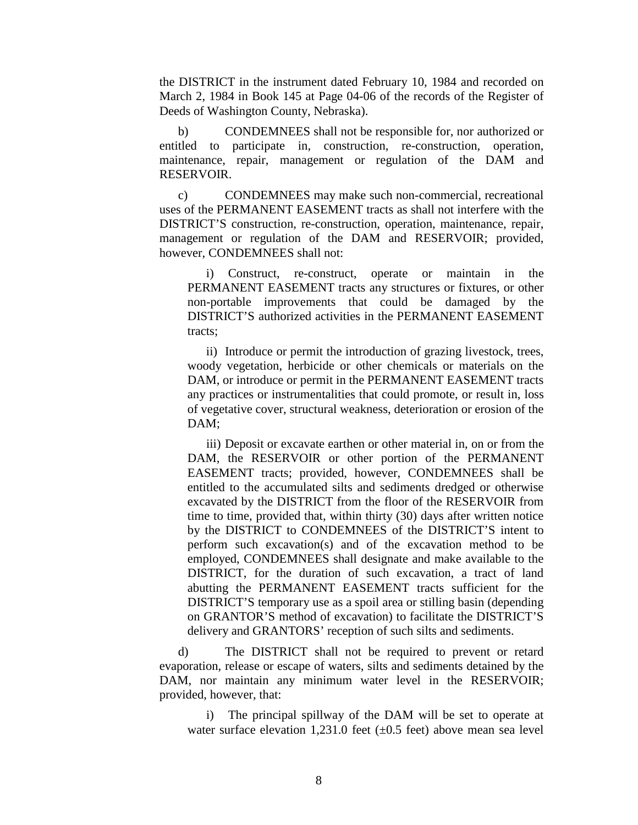the DISTRICT in the instrument dated February 10, 1984 and recorded on March 2, 1984 in Book 145 at Page 04-06 of the records of the Register of Deeds of Washington County, Nebraska).

b) CONDEMNEES shall not be responsible for, nor authorized or entitled to participate in, construction, re-construction, operation, maintenance, repair, management or regulation of the DAM and RESERVOIR.

c) CONDEMNEES may make such non-commercial, recreational uses of the PERMANENT EASEMENT tracts as shall not interfere with the DISTRICT'S construction, re-construction, operation, maintenance, repair, management or regulation of the DAM and RESERVOIR; provided, however, CONDEMNEES shall not:

i) Construct, re-construct, operate or maintain in the PERMANENT EASEMENT tracts any structures or fixtures, or other non-portable improvements that could be damaged by the DISTRICT'S authorized activities in the PERMANENT EASEMENT tracts;

ii) Introduce or permit the introduction of grazing livestock, trees, woody vegetation, herbicide or other chemicals or materials on the DAM, or introduce or permit in the PERMANENT EASEMENT tracts any practices or instrumentalities that could promote, or result in, loss of vegetative cover, structural weakness, deterioration or erosion of the DAM;

iii) Deposit or excavate earthen or other material in, on or from the DAM, the RESERVOIR or other portion of the PERMANENT EASEMENT tracts; provided, however, CONDEMNEES shall be entitled to the accumulated silts and sediments dredged or otherwise excavated by the DISTRICT from the floor of the RESERVOIR from time to time, provided that, within thirty (30) days after written notice by the DISTRICT to CONDEMNEES of the DISTRICT'S intent to perform such excavation(s) and of the excavation method to be employed, CONDEMNEES shall designate and make available to the DISTRICT, for the duration of such excavation, a tract of land abutting the PERMANENT EASEMENT tracts sufficient for the DISTRICT'S temporary use as a spoil area or stilling basin (depending on GRANTOR'S method of excavation) to facilitate the DISTRICT'S delivery and GRANTORS' reception of such silts and sediments.

d) The DISTRICT shall not be required to prevent or retard evaporation, release or escape of waters, silts and sediments detained by the DAM, nor maintain any minimum water level in the RESERVOIR; provided, however, that:

i) The principal spillway of the DAM will be set to operate at water surface elevation 1,231.0 feet  $(\pm 0.5$  feet) above mean sea level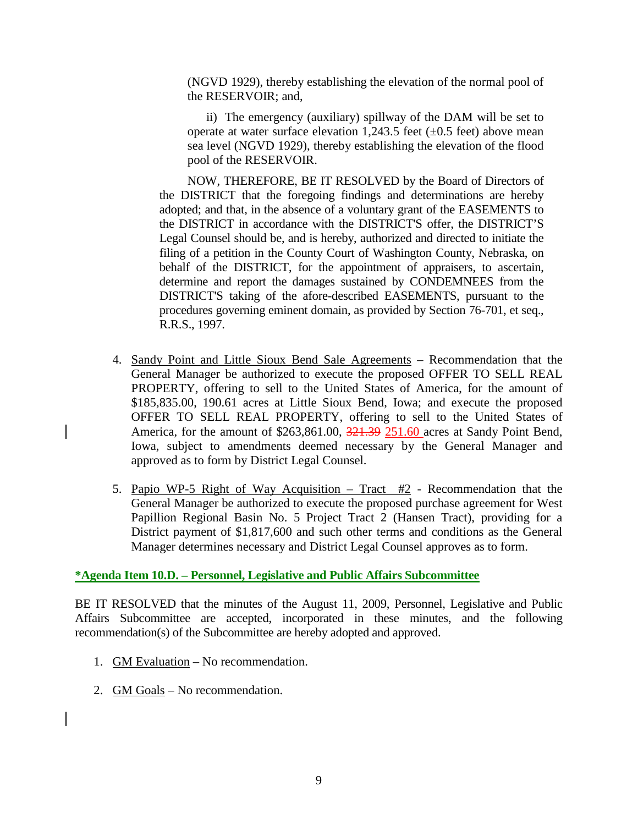(NGVD 1929), thereby establishing the elevation of the normal pool of the RESERVOIR; and,

ii) The emergency (auxiliary) spillway of the DAM will be set to operate at water surface elevation 1,243.5 feet  $(\pm 0.5$  feet) above mean sea level (NGVD 1929), thereby establishing the elevation of the flood pool of the RESERVOIR.

NOW, THEREFORE, BE IT RESOLVED by the Board of Directors of the DISTRICT that the foregoing findings and determinations are hereby adopted; and that, in the absence of a voluntary grant of the EASEMENTS to the DISTRICT in accordance with the DISTRICT'S offer, the DISTRICT'S Legal Counsel should be, and is hereby, authorized and directed to initiate the filing of a petition in the County Court of Washington County, Nebraska, on behalf of the DISTRICT, for the appointment of appraisers, to ascertain, determine and report the damages sustained by CONDEMNEES from the DISTRICT'S taking of the afore-described EASEMENTS, pursuant to the procedures governing eminent domain, as provided by Section 76-701, et seq., R.R.S., 1997.

- 4. Sandy Point and Little Sioux Bend Sale Agreements Recommendation that the General Manager be authorized to execute the proposed OFFER TO SELL REAL PROPERTY, offering to sell to the United States of America, for the amount of \$185,835.00, 190.61 acres at Little Sioux Bend, Iowa; and execute the proposed OFFER TO SELL REAL PROPERTY, offering to sell to the United States of America, for the amount of \$263,861.00, 321.39 251.60 acres at Sandy Point Bend, Iowa, subject to amendments deemed necessary by the General Manager and approved as to form by District Legal Counsel.
- 5. Papio WP-5 Right of Way Acquisition Tract  $#2$  Recommendation that the General Manager be authorized to execute the proposed purchase agreement for West Papillion Regional Basin No. 5 Project Tract 2 (Hansen Tract), providing for a District payment of \$1,817,600 and such other terms and conditions as the General Manager determines necessary and District Legal Counsel approves as to form.

#### **\*Agenda Item 10.D. – Personnel, Legislative and Public Affairs Subcommittee**

BE IT RESOLVED that the minutes of the August 11, 2009, Personnel, Legislative and Public Affairs Subcommittee are accepted, incorporated in these minutes, and the following recommendation(s) of the Subcommittee are hereby adopted and approved.

- 1. GM Evaluation No recommendation.
- 2. GM Goals No recommendation.